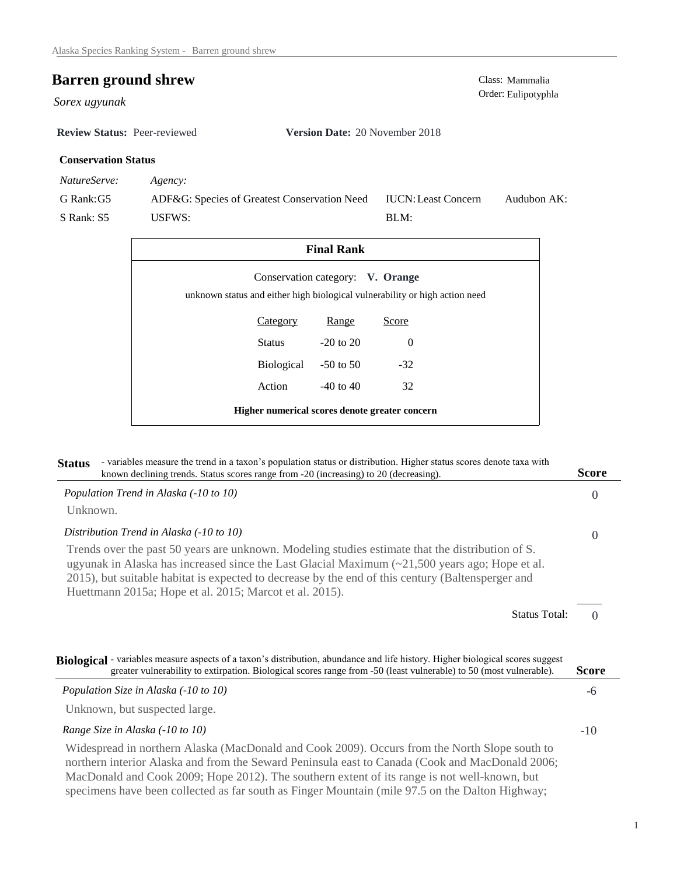## **Barren ground shrew** Class: Mammalia Class: Mammalia Class: Mammalia Class: Mammalia

Sorex ugyunak

**Review Status:** Peer-reviewed **Version Date:** 20 November 2018

## **Conservation Status**

*NatureServe: Agency:*

G Rank:G5 S Rank: S5 ADF&G: Species of Greatest Conservation Need USFWS: Audubon AK: BLM: IUCN:Least Concern

| <b>Final Rank</b>                                                                                               |            |               |          |  |  |  |
|-----------------------------------------------------------------------------------------------------------------|------------|---------------|----------|--|--|--|
| Conservation category: V. Orange<br>unknown status and either high biological vulnerability or high action need |            |               |          |  |  |  |
|                                                                                                                 | Category   | Range         | Score    |  |  |  |
|                                                                                                                 | Status     | $-20$ to $20$ | $\Omega$ |  |  |  |
|                                                                                                                 | Biological | $-50$ to 50   | $-32$    |  |  |  |
|                                                                                                                 | Action     | $-40$ to $40$ | 32       |  |  |  |
| Higher numerical scores denote greater concern                                                                  |            |               |          |  |  |  |

| - variables measure the trend in a taxon's population status or distribution. Higher status scores denote taxa with<br><b>Status</b><br>known declining trends. Status scores range from -20 (increasing) to 20 (decreasing).                                                                                                                                                        | Score    |
|--------------------------------------------------------------------------------------------------------------------------------------------------------------------------------------------------------------------------------------------------------------------------------------------------------------------------------------------------------------------------------------|----------|
| Population Trend in Alaska (-10 to 10)                                                                                                                                                                                                                                                                                                                                               | $\Omega$ |
| Unknown.                                                                                                                                                                                                                                                                                                                                                                             |          |
| Distribution Trend in Alaska (-10 to 10)                                                                                                                                                                                                                                                                                                                                             | $\Omega$ |
| Trends over the past 50 years are unknown. Modeling studies estimate that the distribution of S.<br>ugyunak in Alaska has increased since the Last Glacial Maximum $\left(\sim 21,500\right)$ years ago; Hope et al.<br>2015), but suitable habitat is expected to decrease by the end of this century (Baltensperger and<br>Huettmann 2015a; Hope et al. 2015; Marcot et al. 2015). |          |
| <b>Status Total:</b>                                                                                                                                                                                                                                                                                                                                                                 | $\Omega$ |
| Biological - variables measure aspects of a taxon's distribution, abundance and life history. Higher biological scores suggest<br>greater vulnerability to extirpation. Biological scores range from -50 (least vulnerable) to 50 (most vulnerable).                                                                                                                                 | Score    |
| Population Size in Alaska (-10 to 10)                                                                                                                                                                                                                                                                                                                                                | -6       |
| Unknown, but suspected large.                                                                                                                                                                                                                                                                                                                                                        |          |
| Range Size in Alaska (-10 to 10)                                                                                                                                                                                                                                                                                                                                                     | $-10$    |
| Widespread in northern Alaska (MacDonald and Cook 2009). Occurs from the North Slope south to<br>northern interior Alaska and from the Seward Peninsula east to Canada (Cook and MacDonald 2006;<br>MacDonald and Cook 2009; Hope 2012). The southern extent of its range is not well-known, but                                                                                     |          |

specimens have been collected as far south as Finger Mountain (mile 97.5 on the Dalton Highway;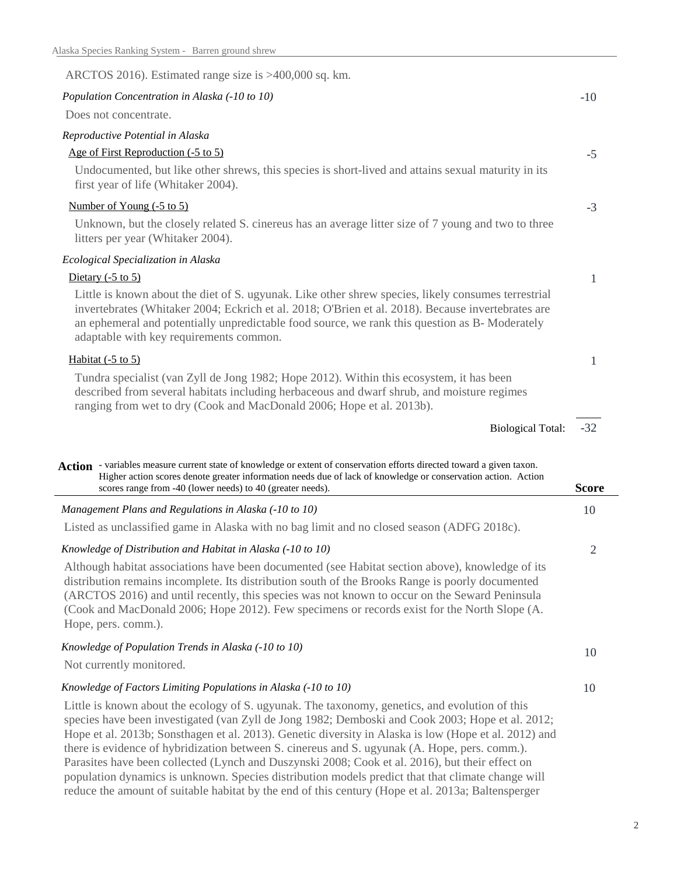| ARCTOS 2016). Estimated range size is >400,000 sq. km.                                                                                                                                                                                                                                                                                                |       |
|-------------------------------------------------------------------------------------------------------------------------------------------------------------------------------------------------------------------------------------------------------------------------------------------------------------------------------------------------------|-------|
| Population Concentration in Alaska (-10 to 10)                                                                                                                                                                                                                                                                                                        | $-10$ |
| Does not concentrate.                                                                                                                                                                                                                                                                                                                                 |       |
| Reproductive Potential in Alaska                                                                                                                                                                                                                                                                                                                      |       |
| Age of First Reproduction (-5 to 5)                                                                                                                                                                                                                                                                                                                   | $-5$  |
| Undocumented, but like other shrews, this species is short-lived and attains sexual maturity in its<br>first year of life (Whitaker 2004).                                                                                                                                                                                                            |       |
| Number of Young $(-5 \text{ to } 5)$                                                                                                                                                                                                                                                                                                                  | $-3$  |
| Unknown, but the closely related S. cinereus has an average litter size of 7 young and two to three<br>litters per year (Whitaker 2004).                                                                                                                                                                                                              |       |
| Ecological Specialization in Alaska                                                                                                                                                                                                                                                                                                                   |       |
| Dietary $(-5 \text{ to } 5)$                                                                                                                                                                                                                                                                                                                          | 1     |
| Little is known about the diet of S. ugyunak. Like other shrew species, likely consumes terrestrial<br>invertebrates (Whitaker 2004; Eckrich et al. 2018; O'Brien et al. 2018). Because invertebrates are<br>an ephemeral and potentially unpredictable food source, we rank this question as B-Moderately<br>adaptable with key requirements common. |       |
| Habitat $(-5 \text{ to } 5)$                                                                                                                                                                                                                                                                                                                          | 1     |
| Tundra specialist (van Zyll de Jong 1982; Hope 2012). Within this ecosystem, it has been<br>described from several habitats including herbaceous and dwarf shrub, and moisture regimes<br>ranging from wet to dry (Cook and MacDonald 2006; Hope et al. 2013b).                                                                                       |       |
| <b>Biological Total:</b>                                                                                                                                                                                                                                                                                                                              | $-32$ |
| Action - variables measure current state of knowledge or extent of conservation efforts directed toward a given taxon.<br>Higher action scores denote greater information needs due of lack of knowledge or conservation action. Action<br>scores range from $-40$ (lower needs) to $40$ (greater needs)                                              | Seare |

| scores range from -40 (lower needs) to 40 (greater needs).                                                                                                                                                                                                                                                                                                                                                                   |    |
|------------------------------------------------------------------------------------------------------------------------------------------------------------------------------------------------------------------------------------------------------------------------------------------------------------------------------------------------------------------------------------------------------------------------------|----|
| Management Plans and Regulations in Alaska (-10 to 10)                                                                                                                                                                                                                                                                                                                                                                       |    |
| Listed as unclassified game in Alaska with no bag limit and no closed season (ADFG 2018c).                                                                                                                                                                                                                                                                                                                                   |    |
| Knowledge of Distribution and Habitat in Alaska (-10 to 10)                                                                                                                                                                                                                                                                                                                                                                  | 2  |
| Although habitat associations have been documented (see Habitat section above), knowledge of its<br>distribution remains incomplete. Its distribution south of the Brooks Range is poorly documented<br>(ARCTOS 2016) and until recently, this species was not known to occur on the Seward Peninsula<br>(Cook and MacDonald 2006; Hope 2012). Few specimens or records exist for the North Slope (A.<br>Hope, pers. comm.). |    |
| Knowledge of Population Trends in Alaska (-10 to 10)                                                                                                                                                                                                                                                                                                                                                                         | 10 |
| Not currently monitored.                                                                                                                                                                                                                                                                                                                                                                                                     |    |
| Knowledge of Factors Limiting Populations in Alaska (-10 to 10)                                                                                                                                                                                                                                                                                                                                                              | 10 |
| Little is known about the ecology of S. ugyunak. The taxonomy, genetics, and evolution of this<br>species have been investigated (van Zyll de Jong 1982; Demboski and Cook 2003; Hope et al. 2012;<br>Hope et al. 2013b; Sonsthagen et al. 2013). Genetic diversity in Alaska is low (Hope et al. 2012) and                                                                                                                  |    |

there is evidence of hybridization between S. cinereus and S. ugyunak (A. Hope, pers. comm.). Parasites have been collected (Lynch and Duszynski 2008; Cook et al. 2016), but their effect on population dynamics is unknown. Species distribution models predict that that climate change will reduce the amount of suitable habitat by the end of this century (Hope et al. 2013a; Baltensperger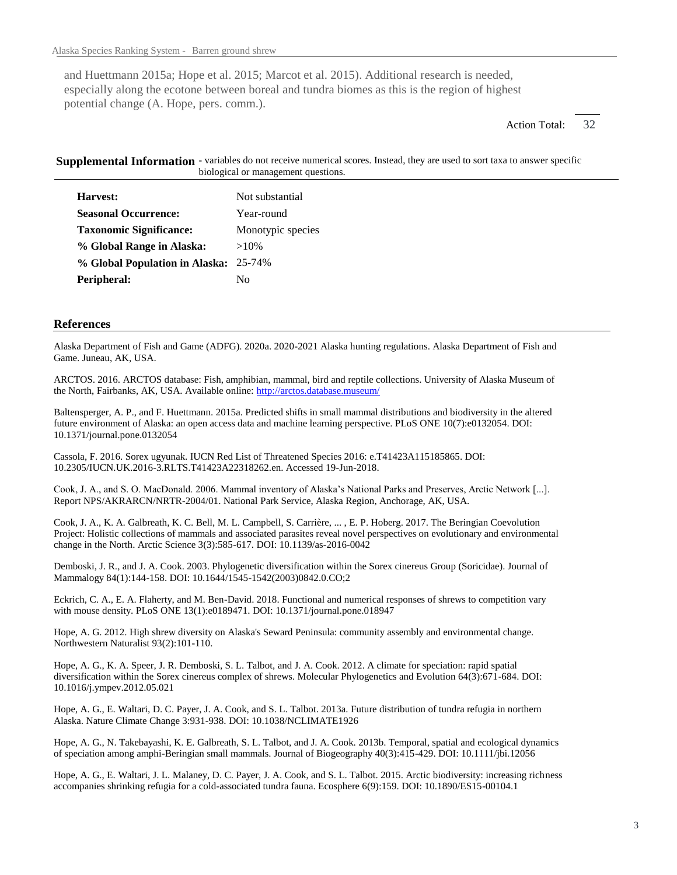and Huettmann 2015a; Hope et al. 2015; Marcot et al. 2015). Additional research is needed, especially along the ecotone between boreal and tundra biomes as this is the region of highest potential change (A. Hope, pers. comm.).

> 32 Action Total:

Supplemental Information - variables do not receive numerical scores. Instead, they are used to sort taxa to answer specific biological or management questions.

| Harvest:                              | Not substantial   |
|---------------------------------------|-------------------|
| <b>Seasonal Occurrence:</b>           | Year-round        |
| <b>Taxonomic Significance:</b>        | Monotypic species |
| % Global Range in Alaska:             | $>10\%$           |
| % Global Population in Alaska: 25-74% |                   |
| Peripheral:                           | Nο                |

## **References**

Alaska Department of Fish and Game (ADFG). 2020a. 2020-2021 Alaska hunting regulations. Alaska Department of Fish and Game. Juneau, AK, USA.

ARCTOS. 2016. ARCTOS database: Fish, amphibian, mammal, bird and reptile collections. University of Alaska Museum of the North, Fairbanks, AK, USA. Available online: http://arctos.database.museum/

Baltensperger, A. P., and F. Huettmann. 2015a. Predicted shifts in small mammal distributions and biodiversity in the altered future environment of Alaska: an open access data and machine learning perspective. PLoS ONE 10(7):e0132054. DOI: 10.1371/journal.pone.0132054

Cassola, F. 2016. Sorex ugyunak. IUCN Red List of Threatened Species 2016: e.T41423A115185865. DOI: 10.2305/IUCN.UK.2016-3.RLTS.T41423A22318262.en. Accessed 19-Jun-2018.

Cook, J. A., and S. O. MacDonald. 2006. Mammal inventory of Alaska's National Parks and Preserves, Arctic Network [...]. Report NPS/AKRARCN/NRTR-2004/01. National Park Service, Alaska Region, Anchorage, AK, USA.

Cook, J. A., K. A. Galbreath, K. C. Bell, M. L. Campbell, S. Carrière, ... , E. P. Hoberg. 2017. The Beringian Coevolution Project: Holistic collections of mammals and associated parasites reveal novel perspectives on evolutionary and environmental change in the North. Arctic Science 3(3):585-617. DOI: 10.1139/as-2016-0042

Demboski, J. R., and J. A. Cook. 2003. Phylogenetic diversification within the Sorex cinereus Group (Soricidae). Journal of Mammalogy 84(1):144-158. DOI: 10.1644/1545-1542(2003)0842.0.CO;2

Eckrich, C. A., E. A. Flaherty, and M. Ben-David. 2018. Functional and numerical responses of shrews to competition vary with mouse density. PLoS ONE 13(1):e0189471. DOI: 10.1371/journal.pone.018947

Hope, A. G. 2012. High shrew diversity on Alaska's Seward Peninsula: community assembly and environmental change. Northwestern Naturalist 93(2):101-110.

Hope, A. G., K. A. Speer, J. R. Demboski, S. L. Talbot, and J. A. Cook. 2012. A climate for speciation: rapid spatial diversification within the Sorex cinereus complex of shrews. Molecular Phylogenetics and Evolution 64(3):671-684. DOI: 10.1016/j.ympev.2012.05.021

Hope, A. G., E. Waltari, D. C. Payer, J. A. Cook, and S. L. Talbot. 2013a. Future distribution of tundra refugia in northern Alaska. Nature Climate Change 3:931-938. DOI: 10.1038/NCLIMATE1926

Hope, A. G., N. Takebayashi, K. E. Galbreath, S. L. Talbot, and J. A. Cook. 2013b. Temporal, spatial and ecological dynamics of speciation among amphi-Beringian small mammals. Journal of Biogeography 40(3):415-429. DOI: 10.1111/jbi.12056

Hope, A. G., E. Waltari, J. L. Malaney, D. C. Payer, J. A. Cook, and S. L. Talbot. 2015. Arctic biodiversity: increasing richness accompanies shrinking refugia for a cold-associated tundra fauna. Ecosphere 6(9):159. DOI: 10.1890/ES15-00104.1